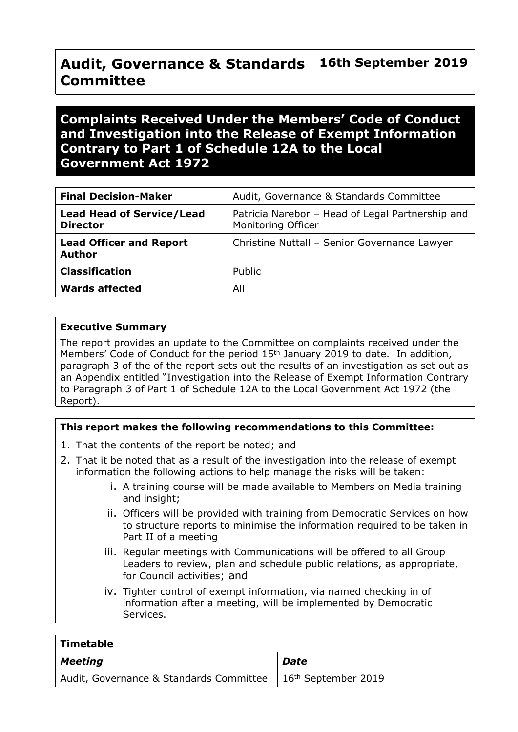#### **Audit, Governance & Standards Committee 16th September 2019**

# **Complaints Received Under the Members' Code of Conduct and Investigation into the Release of Exempt Information Contrary to Part 1 of Schedule 12A to the Local Government Act 1972**

| <b>Final Decision-Maker</b>                         | Audit, Governance & Standards Committee                                |
|-----------------------------------------------------|------------------------------------------------------------------------|
| <b>Lead Head of Service/Lead</b><br><b>Director</b> | Patricia Narebor - Head of Legal Partnership and<br>Monitoring Officer |
| <b>Lead Officer and Report</b><br><b>Author</b>     | Christine Nuttall - Senior Governance Lawyer                           |
| <b>Classification</b>                               | Public                                                                 |
| <b>Wards affected</b>                               | All                                                                    |

#### **Executive Summary**

The report provides an update to the Committee on complaints received under the Members' Code of Conduct for the period 15th January 2019 to date. In addition, paragraph 3 of the of the report sets out the results of an investigation as set out as an Appendix entitled "Investigation into the Release of Exempt Information Contrary to Paragraph 3 of Part 1 of Schedule 12A to the Local Government Act 1972 (the Report).

## **This report makes the following recommendations to this Committee:**

- 1. That the contents of the report be noted; and
- 2. That it be noted that as a result of the investigation into the release of exempt information the following actions to help manage the risks will be taken:
	- i. A training course will be made available to Members on Media training and insight;
	- ii. Officers will be provided with training from Democratic Services on how to structure reports to minimise the information required to be taken in Part II of a meeting
	- iii. Regular meetings with Communications will be offered to all Group Leaders to review, plan and schedule public relations, as appropriate, for Council activities; and
	- iv. Tighter control of exempt information, via named checking in of information after a meeting, will be implemented by Democratic Services.

| Timetable                                                                 |             |
|---------------------------------------------------------------------------|-------------|
| Meeting                                                                   | <b>Date</b> |
| Audit, Governance & Standards Committee   16 <sup>th</sup> September 2019 |             |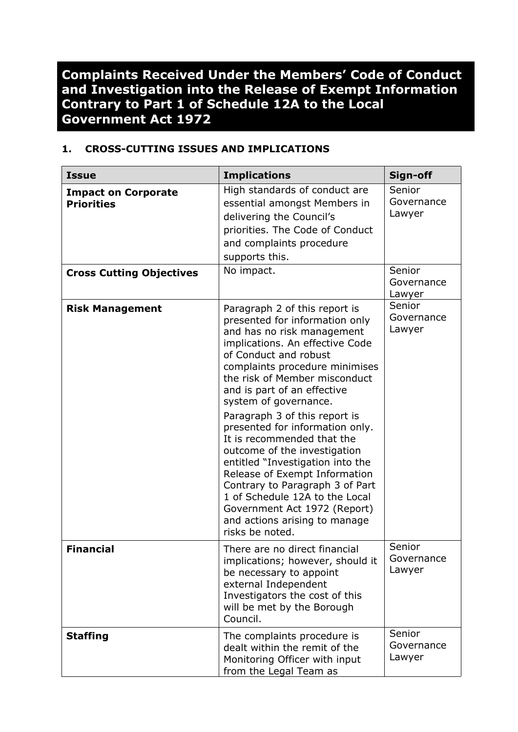**Complaints Received Under the Members' Code of Conduct and Investigation into the Release of Exempt Information Contrary to Part 1 of Schedule 12A to the Local Government Act 1972**

## **1. CROSS-CUTTING ISSUES AND IMPLICATIONS**

| <b>Issue</b>                                    | <b>Implications</b>                                                                                                                                                                                                                                                                                                                                                                                                                                                                                                                                                                                                                                  | Sign-off                       |
|-------------------------------------------------|------------------------------------------------------------------------------------------------------------------------------------------------------------------------------------------------------------------------------------------------------------------------------------------------------------------------------------------------------------------------------------------------------------------------------------------------------------------------------------------------------------------------------------------------------------------------------------------------------------------------------------------------------|--------------------------------|
| <b>Impact on Corporate</b><br><b>Priorities</b> | High standards of conduct are<br>essential amongst Members in<br>delivering the Council's<br>priorities. The Code of Conduct<br>and complaints procedure<br>supports this.                                                                                                                                                                                                                                                                                                                                                                                                                                                                           | Senior<br>Governance<br>Lawyer |
| <b>Cross Cutting Objectives</b>                 | No impact.                                                                                                                                                                                                                                                                                                                                                                                                                                                                                                                                                                                                                                           | Senior<br>Governance<br>Lawyer |
| <b>Risk Management</b>                          | Paragraph 2 of this report is<br>presented for information only<br>and has no risk management<br>implications. An effective Code<br>of Conduct and robust<br>complaints procedure minimises<br>the risk of Member misconduct<br>and is part of an effective<br>system of governance.<br>Paragraph 3 of this report is<br>presented for information only.<br>It is recommended that the<br>outcome of the investigation<br>entitled "Investigation into the<br>Release of Exempt Information<br>Contrary to Paragraph 3 of Part<br>1 of Schedule 12A to the Local<br>Government Act 1972 (Report)<br>and actions arising to manage<br>risks be noted. | Senior<br>Governance<br>Lawyer |
| <b>Financial</b>                                | There are no direct financial<br>implications; however, should it<br>be necessary to appoint<br>external Independent<br>Investigators the cost of this<br>will be met by the Borough<br>Council.                                                                                                                                                                                                                                                                                                                                                                                                                                                     | Senior<br>Governance<br>Lawyer |
| <b>Staffing</b>                                 | The complaints procedure is<br>dealt within the remit of the<br>Monitoring Officer with input<br>from the Legal Team as                                                                                                                                                                                                                                                                                                                                                                                                                                                                                                                              | Senior<br>Governance<br>Lawyer |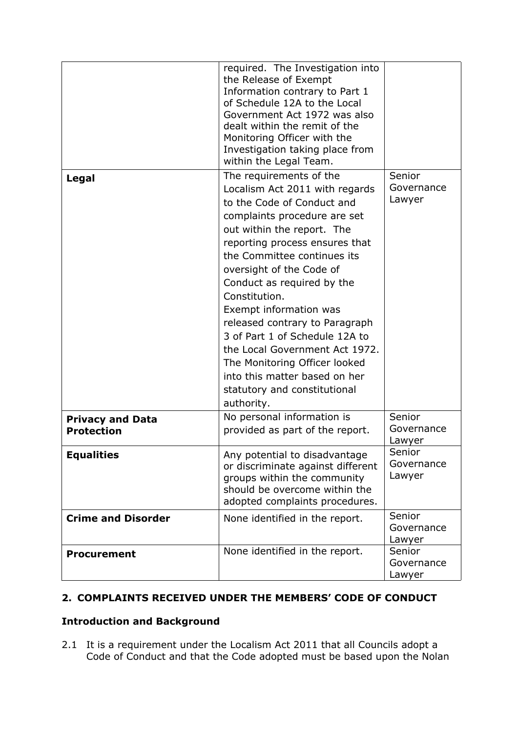| Legal                                        | required. The Investigation into<br>the Release of Exempt<br>Information contrary to Part 1<br>of Schedule 12A to the Local<br>Government Act 1972 was also<br>dealt within the remit of the<br>Monitoring Officer with the<br>Investigation taking place from<br>within the Legal Team.<br>The requirements of the                                                                                                                                                                                                    | Senior<br>Governance           |
|----------------------------------------------|------------------------------------------------------------------------------------------------------------------------------------------------------------------------------------------------------------------------------------------------------------------------------------------------------------------------------------------------------------------------------------------------------------------------------------------------------------------------------------------------------------------------|--------------------------------|
|                                              | Localism Act 2011 with regards<br>to the Code of Conduct and<br>complaints procedure are set<br>out within the report. The<br>reporting process ensures that<br>the Committee continues its<br>oversight of the Code of<br>Conduct as required by the<br>Constitution.<br>Exempt information was<br>released contrary to Paragraph<br>3 of Part 1 of Schedule 12A to<br>the Local Government Act 1972.<br>The Monitoring Officer looked<br>into this matter based on her<br>statutory and constitutional<br>authority. | Lawyer                         |
| <b>Privacy and Data</b><br><b>Protection</b> | No personal information is<br>provided as part of the report.                                                                                                                                                                                                                                                                                                                                                                                                                                                          | Senior<br>Governance<br>Lawyer |
| <b>Equalities</b>                            | Any potential to disadvantage<br>or discriminate against different<br>groups within the community<br>should be overcome within the<br>adopted complaints procedures.                                                                                                                                                                                                                                                                                                                                                   | Senior<br>Governance<br>Lawyer |
| <b>Crime and Disorder</b>                    | None identified in the report.                                                                                                                                                                                                                                                                                                                                                                                                                                                                                         | Senior<br>Governance<br>Lawyer |
| <b>Procurement</b>                           | None identified in the report.                                                                                                                                                                                                                                                                                                                                                                                                                                                                                         | Senior<br>Governance<br>Lawyer |

## **2. COMPLAINTS RECEIVED UNDER THE MEMBERS' CODE OF CONDUCT**

## **Introduction and Background**

2.1 It is a requirement under the Localism Act 2011 that all Councils adopt a Code of Conduct and that the Code adopted must be based upon the Nolan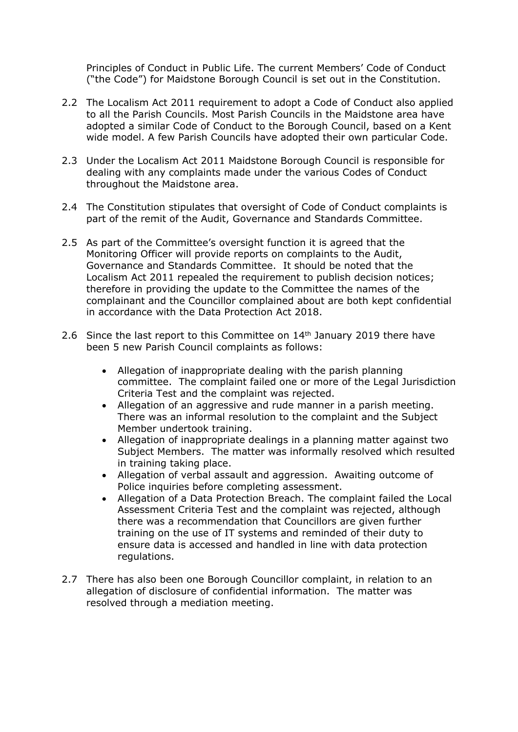Principles of Conduct in Public Life. The current Members' Code of Conduct ("the Code") for Maidstone Borough Council is set out in the Constitution.

- 2.2 The Localism Act 2011 requirement to adopt a Code of Conduct also applied to all the Parish Councils. Most Parish Councils in the Maidstone area have adopted a similar Code of Conduct to the Borough Council, based on a Kent wide model. A few Parish Councils have adopted their own particular Code.
- 2.3 Under the Localism Act 2011 Maidstone Borough Council is responsible for dealing with any complaints made under the various Codes of Conduct throughout the Maidstone area.
- 2.4 The Constitution stipulates that oversight of Code of Conduct complaints is part of the remit of the Audit, Governance and Standards Committee.
- 2.5 As part of the Committee's oversight function it is agreed that the Monitoring Officer will provide reports on complaints to the Audit, Governance and Standards Committee. It should be noted that the Localism Act 2011 repealed the requirement to publish decision notices; therefore in providing the update to the Committee the names of the complainant and the Councillor complained about are both kept confidential in accordance with the Data Protection Act 2018.
- 2.6 Since the last report to this Committee on 14<sup>th</sup> January 2019 there have been 5 new Parish Council complaints as follows:
	- Allegation of inappropriate dealing with the parish planning committee. The complaint failed one or more of the Legal Jurisdiction Criteria Test and the complaint was rejected.
	- Allegation of an aggressive and rude manner in a parish meeting. There was an informal resolution to the complaint and the Subject Member undertook training.
	- Allegation of inappropriate dealings in a planning matter against two Subject Members. The matter was informally resolved which resulted in training taking place.
	- Allegation of verbal assault and aggression. Awaiting outcome of Police inquiries before completing assessment.
	- Allegation of a Data Protection Breach. The complaint failed the Local Assessment Criteria Test and the complaint was rejected, although there was a recommendation that Councillors are given further training on the use of IT systems and reminded of their duty to ensure data is accessed and handled in line with data protection regulations.
- 2.7 There has also been one Borough Councillor complaint, in relation to an allegation of disclosure of confidential information. The matter was resolved through a mediation meeting.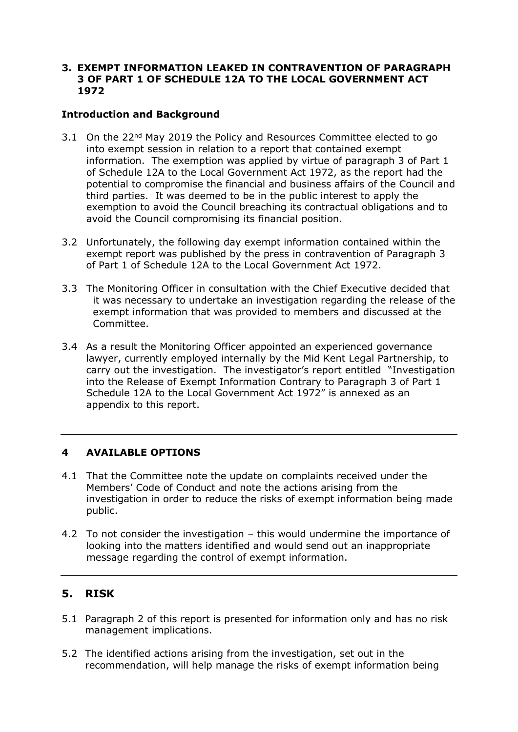#### **3. EXEMPT INFORMATION LEAKED IN CONTRAVENTION OF PARAGRAPH 3 OF PART 1 OF SCHEDULE 12A TO THE LOCAL GOVERNMENT ACT 1972**

### **Introduction and Background**

- 3.1 On the 22<sup>nd</sup> May 2019 the Policy and Resources Committee elected to go into exempt session in relation to a report that contained exempt information. The exemption was applied by virtue of paragraph 3 of Part 1 of Schedule 12A to the Local Government Act 1972, as the report had the potential to compromise the financial and business affairs of the Council and third parties. It was deemed to be in the public interest to apply the exemption to avoid the Council breaching its contractual obligations and to avoid the Council compromising its financial position.
- 3.2 Unfortunately, the following day exempt information contained within the exempt report was published by the press in contravention of Paragraph 3 of Part 1 of Schedule 12A to the Local Government Act 1972.
- 3.3 The Monitoring Officer in consultation with the Chief Executive decided that it was necessary to undertake an investigation regarding the release of the exempt information that was provided to members and discussed at the Committee.
- 3.4 As a result the Monitoring Officer appointed an experienced governance lawyer, currently employed internally by the Mid Kent Legal Partnership, to carry out the investigation. The investigator's report entitled "Investigation into the Release of Exempt Information Contrary to Paragraph 3 of Part 1 Schedule 12A to the Local Government Act 1972" is annexed as an appendix to this report.

## **4 AVAILABLE OPTIONS**

- 4.1 That the Committee note the update on complaints received under the Members' Code of Conduct and note the actions arising from the investigation in order to reduce the risks of exempt information being made public.
- 4.2 To not consider the investigation this would undermine the importance of looking into the matters identified and would send out an inappropriate message regarding the control of exempt information.

## **5. RISK**

- 5.1 Paragraph 2 of this report is presented for information only and has no risk management implications.
- 5.2 The identified actions arising from the investigation, set out in the recommendation, will help manage the risks of exempt information being